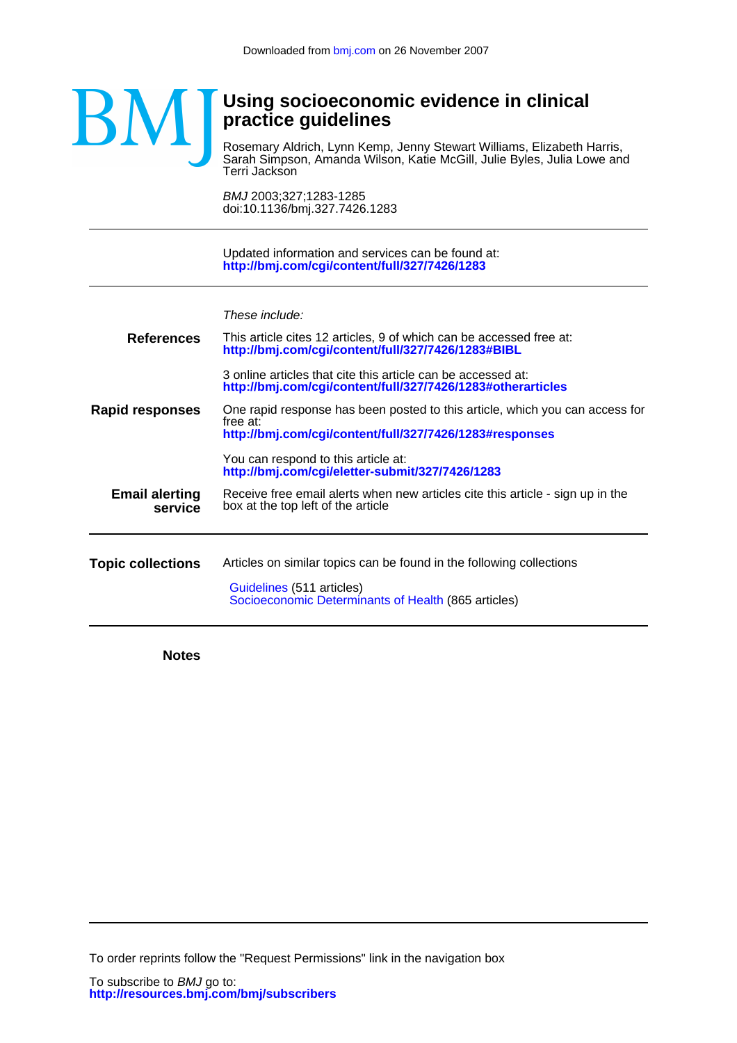

## **practice guidelines Using socioeconomic evidence in clinical**

Terri Jackson Sarah Simpson, Amanda Wilson, Katie McGill, Julie Byles, Julia Lowe and Rosemary Aldrich, Lynn Kemp, Jenny Stewart Williams, Elizabeth Harris, Ī

doi:10.1136/bmj.327.7426.1283 BMJ 2003;327;1283-1285

**<http://bmj.com/cgi/content/full/327/7426/1283>** Updated information and services can be found at:

| These include: |  |  |
|----------------|--|--|
|                |  |  |

| <b>References</b>                | This article cites 12 articles, 9 of which can be accessed free at:<br>http://bmj.com/cgi/content/full/327/7426/1283#BIBL                           |
|----------------------------------|-----------------------------------------------------------------------------------------------------------------------------------------------------|
|                                  | 3 online articles that cite this article can be accessed at:<br>http://bmj.com/cgi/content/full/327/7426/1283#otherarticles                         |
| Rapid responses                  | One rapid response has been posted to this article, which you can access for<br>free at:<br>http://bmj.com/cgi/content/full/327/7426/1283#responses |
|                                  | You can respond to this article at:<br>http://bmj.com/cgi/eletter-submit/327/7426/1283                                                              |
| <b>Email alerting</b><br>service | Receive free email alerts when new articles cite this article - sign up in the<br>box at the top left of the article                                |
|                                  |                                                                                                                                                     |
| <b>Topic collections</b>         | Articles on similar topics can be found in the following collections                                                                                |
|                                  | Guidelines (511 articles)<br>Socioeconomic Determinants of Health (865 articles)                                                                    |

**Notes**

To order reprints follow the "Request Permissions" link in the navigation box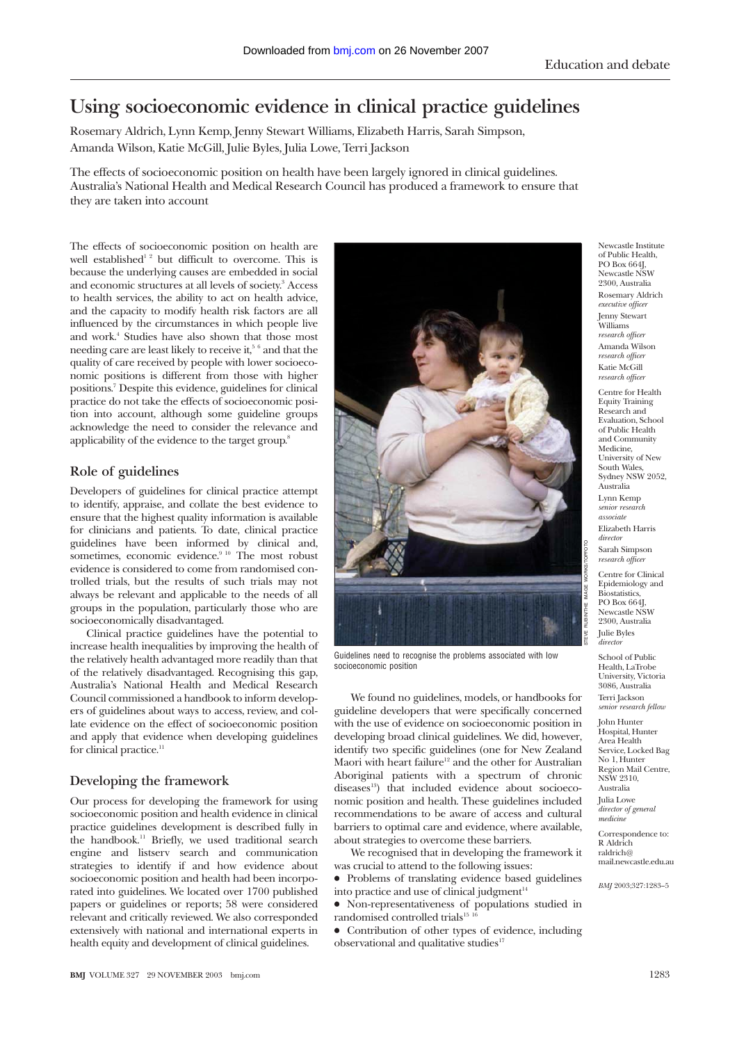# **Using socioeconomic evidence in clinical practice guidelines**

Rosemary Aldrich, Lynn Kemp, Jenny Stewart Williams, Elizabeth Harris, Sarah Simpson, Amanda Wilson, Katie McGill, Julie Byles, Julia Lowe, Terri Jackson

The effects of socioeconomic position on health have been largely ignored in clinical guidelines. Australia's National Health and Medical Research Council has produced a framework to ensure that they are taken into account

The effects of socioeconomic position on health are well established<sup>12</sup> but difficult to overcome. This is because the underlying causes are embedded in social and economic structures at all levels of society.<sup>3</sup> Access to health services, the ability to act on health advice, and the capacity to modify health risk factors are all influenced by the circumstances in which people live and work.4 Studies have also shown that those most needing care are least likely to receive it,<sup>56</sup> and that the quality of care received by people with lower socioeconomic positions is different from those with higher positions.7 Despite this evidence, guidelines for clinical practice do not take the effects of socioeconomic position into account, although some guideline groups acknowledge the need to consider the relevance and applicability of the evidence to the target group.8

## **Role of guidelines**

Developers of guidelines for clinical practice attempt to identify, appraise, and collate the best evidence to ensure that the highest quality information is available for clinicians and patients. To date, clinical practice guidelines have been informed by clinical and, sometimes, economic evidence.<sup>9 10</sup> The most robust evidence is considered to come from randomised controlled trials, but the results of such trials may not always be relevant and applicable to the needs of all groups in the population, particularly those who are socioeconomically disadvantaged.

Clinical practice guidelines have the potential to increase health inequalities by improving the health of the relatively health advantaged more readily than that of the relatively disadvantaged. Recognising this gap, Australia's National Health and Medical Research Council commissioned a handbook to inform developers of guidelines about ways to access, review, and collate evidence on the effect of socioeconomic position and apply that evidence when developing guidelines for clinical practice.<sup>11</sup>

## **Developing the framework**

Our process for developing the framework for using socioeconomic position and health evidence in clinical practice guidelines development is described fully in the handbook.<sup>11</sup> Briefly, we used traditional search engine and listserv search and communication strategies to identify if and how evidence about socioeconomic position and health had been incorporated into guidelines. We located over 1700 published papers or guidelines or reports; 58 were considered relevant and critically reviewed. We also corresponded extensively with national and international experts in health equity and development of clinical guidelines.



Guidelines need to recognise the problems associated with low socioeconomic position

We found no guidelines, models, or handbooks for guideline developers that were specifically concerned with the use of evidence on socioeconomic position in developing broad clinical guidelines. We did, however, identify two specific guidelines (one for New Zealand Maori with heart failure<sup>12</sup> and the other for Australian Aboriginal patients with a spectrum of chronic diseases<sup>13</sup>) that included evidence about socioeconomic position and health. These guidelines included recommendations to be aware of access and cultural barriers to optimal care and evidence, where available, about strategies to overcome these barriers.

We recognised that in developing the framework it was crucial to attend to the following issues:

• Problems of translating evidence based guidelines into practice and use of clinical judgment<sup>14</sup>

• Non-representativeness of populations studied in  $randomised controlled trials<sup>15-16</sup>$ 

• Contribution of other types of evidence, including observational and qualitative studies $17$ 

Newcastle Institute of Public Health, PO Box 664J, Newcastle NSW 2300, Australia Rosemary Aldrich *executive officer* Jenny Stewart Williams *research officer* Amanda Wilson *research officer* Katie McGill *research officer*

Centre for Health Equity Training Research and Evaluation, School of Public Health and Community Medicine, University of New South Wales, Sydney NSW 2052, Australia Lynn Kemp *senior research associate* Elizabeth Harris *director* Sarah Simpson *research officer*

Centre for Clinical Epidemiology and Biostatistics, PO Box 664J, Newcastle NSW 2300, Australia Julie Byles *director*

School of Public Health, LaTrobe University, Victoria 3086, Australia Terri Jackson *senior research fellow*

John Hunter Hospital, Hunter Area Health Service, Locked Bag No.1, Hunter Region Mail Centre. NSW 2310, Australia Julia Lowe *director of general medicine*

Correspondence to: R Aldrich raldrich@ mail.newcastle.edu.au

*BMJ* 2003;327:1283–5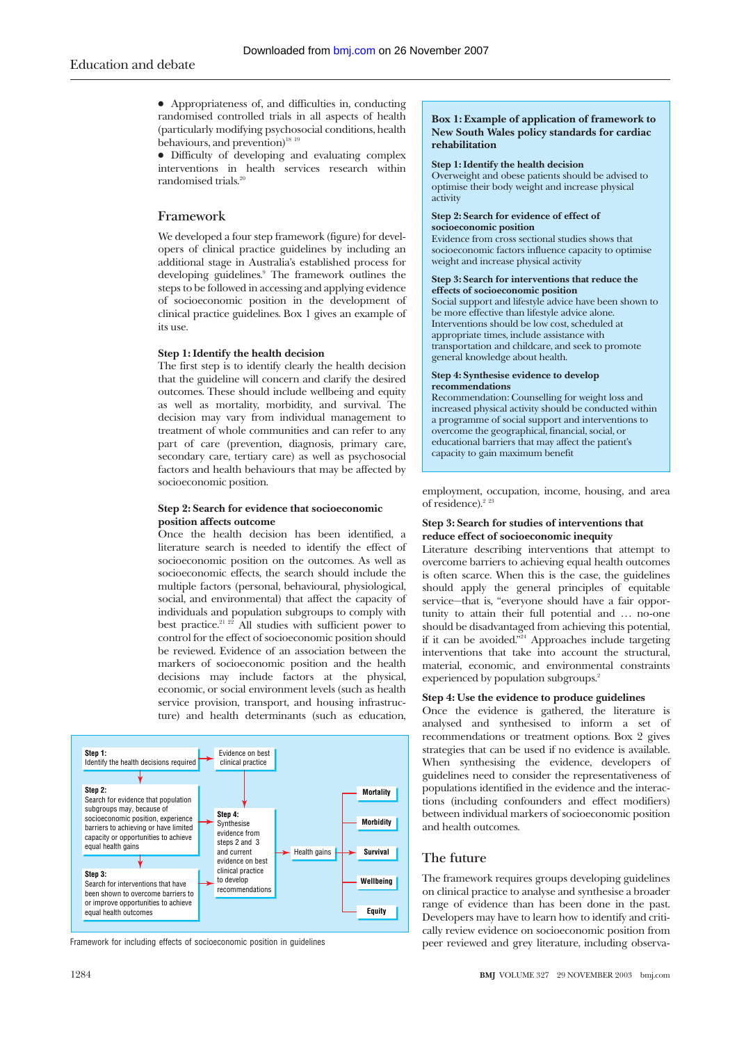$\bullet$  Appropriateness of, and difficulties in, conducting randomised controlled trials in all aspects of health (particularly modifying psychosocial conditions, health behaviours, and prevention)<sup>18</sup><sup>19</sup>

x Difficulty of developing and evaluating complex interventions in health services research within randomised trials.<sup>2</sup>

## **Framework**

We developed a four step framework (figure) for developers of clinical practice guidelines by including an additional stage in Australia's established process for developing guidelines.<sup>9</sup> The framework outlines the steps to be followed in accessing and applying evidence of socioeconomic position in the development of clinical practice guidelines. Box 1 gives an example of its use.

#### **Step 1: Identify the health decision**

The first step is to identify clearly the health decision that the guideline will concern and clarify the desired outcomes. These should include wellbeing and equity as well as mortality, morbidity, and survival. The decision may vary from individual management to treatment of whole communities and can refer to any part of care (prevention, diagnosis, primary care, secondary care, tertiary care) as well as psychosocial factors and health behaviours that may be affected by socioeconomic position.

#### **Step 2: Search for evidence that socioeconomic position affects outcome**

Once the health decision has been identified, a literature search is needed to identify the effect of socioeconomic position on the outcomes. As well as socioeconomic effects, the search should include the multiple factors (personal, behavioural, physiological, social, and environmental) that affect the capacity of individuals and population subgroups to comply with best practice.<sup>21 22</sup> All studies with sufficient power to control for the effect of socioeconomic position should be reviewed. Evidence of an association between the markers of socioeconomic position and the health decisions may include factors at the physical, economic, or social environment levels (such as health service provision, transport, and housing infrastructure) and health determinants (such as education,



Framework for including effects of socioeconomic position in guidelines

#### **Box 1: Example of application of framework to New South Wales policy standards for cardiac rehabilitation**

#### **Step 1: Identify the health decision**

Overweight and obese patients should be advised to optimise their body weight and increase physical activity

#### **Step 2: Search for evidence of effect of socioeconomic position**

Evidence from cross sectional studies shows that socioeconomic factors influence capacity to optimise weight and increase physical activity

#### **Step 3: Search for interventions that reduce the effects of socioeconomic position**

Social support and lifestyle advice have been shown to be more effective than lifestyle advice alone. Interventions should be low cost, scheduled at appropriate times, include assistance with transportation and childcare, and seek to promote general knowledge about health.

#### **Step 4: Synthesise evidence to develop recommendations**

Recommendation: Counselling for weight loss and increased physical activity should be conducted within a programme of social support and interventions to overcome the geographical, financial, social, or educational barriers that may affect the patient's capacity to gain maximum benefit

employment, occupation, income, housing, and area of residence).<sup>2</sup> <sup>23</sup>

#### **Step 3: Search for studies of interventions that reduce effect of socioeconomic inequity**

Literature describing interventions that attempt to overcome barriers to achieving equal health outcomes is often scarce. When this is the case, the guidelines should apply the general principles of equitable service—that is, "everyone should have a fair opportunity to attain their full potential and ... no-one should be disadvantaged from achieving this potential, if it can be avoided."24 Approaches include targeting interventions that take into account the structural, material, economic, and environmental constraints experienced by population subgroups.<sup>2</sup>

#### **Step 4: Use the evidence to produce guidelines**

Once the evidence is gathered, the literature is analysed and synthesised to inform a set of recommendations or treatment options. Box 2 gives strategies that can be used if no evidence is available. When synthesising the evidence, developers of guidelines need to consider the representativeness of populations identified in the evidence and the interactions (including confounders and effect modifiers) between individual markers of socioeconomic position and health outcomes.

## **The future**

The framework requires groups developing guidelines on clinical practice to analyse and synthesise a broader range of evidence than has been done in the past. Developers may have to learn how to identify and critically review evidence on socioeconomic position from peer reviewed and grey literature, including observa-